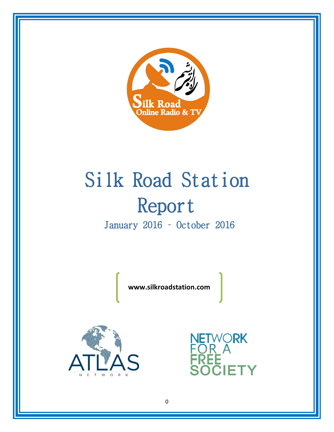

# Silk Road Station Report January 2016 – October 2016

**www.silkroadstation.com**



**ETWORK**<br>OR A Y-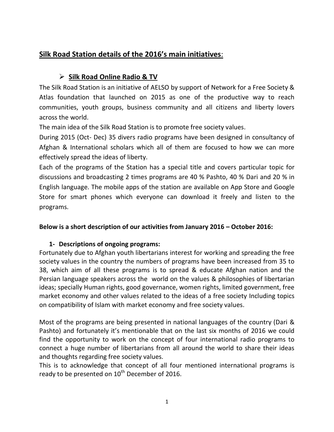# **Silk Road Station details of the 2016's main initiatives**:

# ¾ **Silk Road Online Radio & TV**

The Silk Road Station is an initiative of AELSO by support of Network for a Free Society & Atlas foundation that launched on 2015 as one of the productive way to reach communities, youth groups, business community and all citizens and liberty lovers across the world.

The main idea of the Silk Road Station is to promote free society values.

During 2015 (Oct- Dec) 35 divers radio programs have been designed in consultancy of Afghan & International scholars which all of them are focused to how we can more effectively spread the ideas of liberty.

Each of the programs of the Station has a special title and covers particular topic for discussions and broadcasting 2 times programs are 40 % Pashto, 40 % Dari and 20 % in English language. The mobile apps of the station are available on App Store and Google Store for smart phones which everyone can download it freely and listen to the programs.

# **Below is a short description of our activities from January 2016 – October 2016:**

# **1- Descriptions of ongoing programs:**

Fortunately due to Afghan youth libertarians interest for working and spreading the free society values in the country the numbers of programs have been increased from 35 to 38, which aim of all these programs is to spread & educate Afghan nation and the Persian language speakers across the world on the values & philosophies of libertarian ideas; specially Human rights, good governance, women rights, limited government, free market economy and other values related to the ideas of a free society Including topics on compatibility of Islam with market economy and free society values.

Most of the programs are being presented in national languages of the country (Dari & Pashto) and fortunately it's mentionable that on the last six months of 2016 we could find the opportunity to work on the concept of four international radio programs to connect a huge number of libertarians from all around the world to share their ideas and thoughts regarding free society values.

This is to acknowledge that concept of all four mentioned international programs is ready to be presented on  $10^{th}$  December of 2016.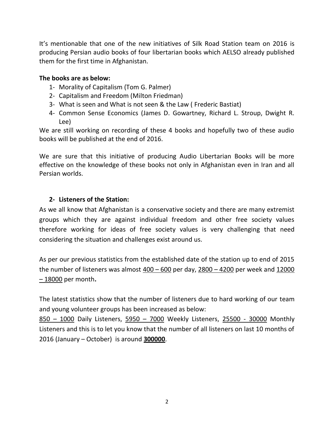It's mentionable that one of the new initiatives of Silk Road Station team on 2016 is producing Persian audio books of four libertarian books which AELSO already published them for the first time in Afghanistan.

### **The books are as below:**

- 1- Morality of Capitalism (Tom G. Palmer)
- 2- Capitalism and Freedom (Milton Friedman)
- 3- What is seen and What is not seen & the Law ( Frederic Bastiat)
- 4- Common Sense Economics (James D. Gowartney, Richard L. Stroup, Dwight R. Lee)

We are still working on recording of these 4 books and hopefully two of these audio books will be published at the end of 2016.

We are sure that this initiative of producing Audio Libertarian Books will be more effective on the knowledge of these books not only in Afghanistan even in Iran and all Persian worlds.

# **2- Listeners of the Station:**

As we all know that Afghanistan is a conservative society and there are many extremist groups which they are against individual freedom and other free society values therefore working for ideas of free society values is very challenging that need considering the situation and challenges exist around us.

As per our previous statistics from the established date of the station up to end of 2015 the number of listeners was almost  $400 - 600$  per day,  $2800 - 4200$  per week and  $12000$ – 18000 per month**.**

The latest statistics show that the number of listeners due to hard working of our team and young volunteer groups has been increased as below:

850 – 1000 Daily Listeners, 5950 – 7000 Weekly Listeners, 25500 - 30000 Monthly Listeners and this is to let you know that the number of all listeners on last 10 months of 2016 (January – October) is around **300000**.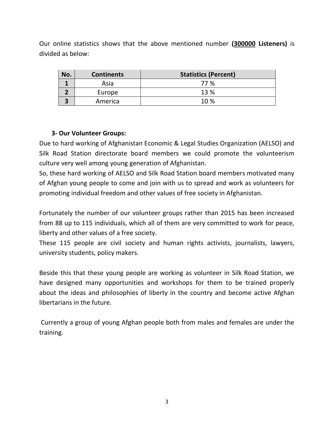Our online statistics shows that the above mentioned number **(300000 Listeners)** is divided as below:

| No. | <b>Continents</b> | <b>Statistics (Percent)</b> |
|-----|-------------------|-----------------------------|
|     | Asia              | 77 %                        |
|     | Europe            | 13 %                        |
|     | America           | 10%                         |

# **3- Our Volunteer Groups:**

Due to hard working of Afghanistan Economic & Legal Studies Organization (AELSO) and Silk Road Station directorate board members we could promote the volunteerism culture very well among young generation of Afghanistan.

So, these hard working of AELSO and Silk Road Station board members motivated many of Afghan young people to come and join with us to spread and work as volunteers for promoting individual freedom and other values of free society in Afghanistan.

Fortunately the number of our volunteer groups rather than 2015 has been increased from 88 up to 115 individuals, which all of them are very committed to work for peace, liberty and other values of a free society.

These 115 people are civil society and human rights activists, journalists, lawyers, university students, policy makers.

Beside this that these young people are working as volunteer in Silk Road Station, we have designed many opportunities and workshops for them to be trained properly about the ideas and philosophies of liberty in the country and become active Afghan libertarians in the future.

Currently a group of young Afghan people both from males and females are under the training.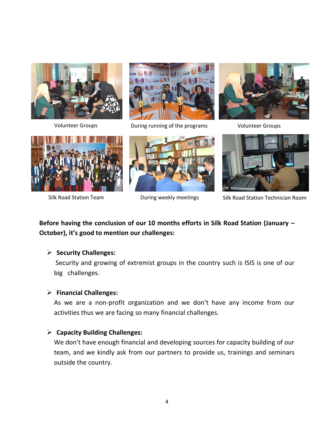



Volunteer Groups **During running of the programs** Volunteer Groups









Silk Road Station Team **During weekly meetings** Silk Road Station Technician Room

# **Before having the conclusion of our 10 months efforts in Silk Road Station (January – October), it's good to mention our challenges:**

#### ¾ **Security Challenges:**

Security and growing of extremist groups in the country such is ISIS is one of our big challenges.

#### ¾ **Financial Challenges:**

As we are a non-profit organization and we don't have any income from our activities thus we are facing so many financial challenges.

#### ¾ **Capacity Building Challenges:**

We don't have enough financial and developing sources for capacity building of our team, and we kindly ask from our partners to provide us, trainings and seminars outside the country.